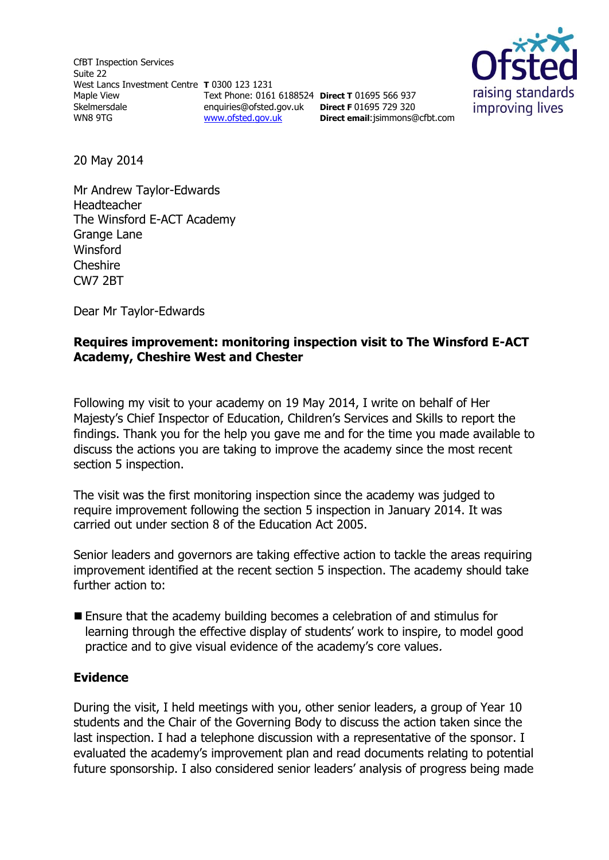CfBT Inspection Services Suite 22 West Lancs Investment Centre **T** 0300 123 1231 Maple View Skelmersdale WN8 9TG Text Phone: 0161 6188524 **Direct T** 01695 566 937 [www.ofsted.gov.uk](http://www.ofsted.gov.uk/)



enquiries@ofsted.gov.uk **Direct F** 01695 729 320 **Direct email**[:jsimmons@cfbt.com](file:///C:/Users/jsimmons/AppData/Local/Microsoft/Windows/Temporary%20Internet%20Files/Content.IE5/8HD36MO3/jsimmons@cfbt.com)

20 May 2014

Mr Andrew Taylor-Edwards Headteacher The Winsford E-ACT Academy Grange Lane Winsford Cheshire CW7 2BT

Dear Mr Taylor-Edwards

## **Requires improvement: monitoring inspection visit to The Winsford E-ACT Academy, Cheshire West and Chester**

Following my visit to your academy on 19 May 2014, I write on behalf of Her Majesty's Chief Inspector of Education, Children's Services and Skills to report the findings. Thank you for the help you gave me and for the time you made available to discuss the actions you are taking to improve the academy since the most recent section 5 inspection.

The visit was the first monitoring inspection since the academy was judged to require improvement following the section 5 inspection in January 2014. It was carried out under section 8 of the Education Act 2005.

Senior leaders and governors are taking effective action to tackle the areas requiring improvement identified at the recent section 5 inspection. The academy should take further action to:

 Ensure that the academy building becomes a celebration of and stimulus for learning through the effective display of students' work to inspire, to model good practice and to give visual evidence of the academy's core values.

### **Evidence**

During the visit, I held meetings with you, other senior leaders, a group of Year 10 students and the Chair of the Governing Body to discuss the action taken since the last inspection. I had a telephone discussion with a representative of the sponsor. I evaluated the academy's improvement plan and read documents relating to potential future sponsorship. I also considered senior leaders' analysis of progress being made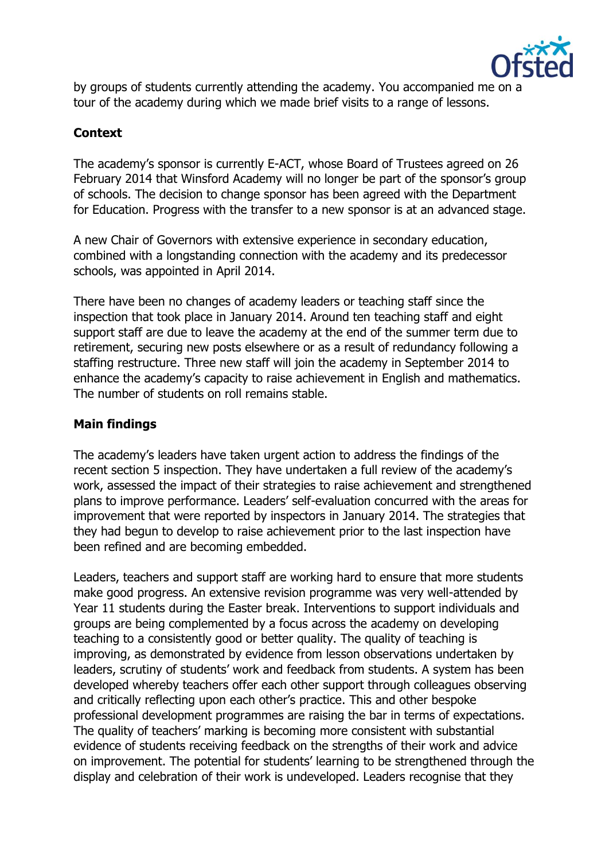

by groups of students currently attending the academy. You accompanied me on a tour of the academy during which we made brief visits to a range of lessons.

# **Context**

The academy's sponsor is currently E-ACT, whose Board of Trustees agreed on 26 February 2014 that Winsford Academy will no longer be part of the sponsor's group of schools. The decision to change sponsor has been agreed with the Department for Education. Progress with the transfer to a new sponsor is at an advanced stage.

A new Chair of Governors with extensive experience in secondary education, combined with a longstanding connection with the academy and its predecessor schools, was appointed in April 2014.

There have been no changes of academy leaders or teaching staff since the inspection that took place in January 2014. Around ten teaching staff and eight support staff are due to leave the academy at the end of the summer term due to retirement, securing new posts elsewhere or as a result of redundancy following a staffing restructure. Three new staff will join the academy in September 2014 to enhance the academy's capacity to raise achievement in English and mathematics. The number of students on roll remains stable.

### **Main findings**

The academy's leaders have taken urgent action to address the findings of the recent section 5 inspection. They have undertaken a full review of the academy's work, assessed the impact of their strategies to raise achievement and strengthened plans to improve performance. Leaders' self-evaluation concurred with the areas for improvement that were reported by inspectors in January 2014. The strategies that they had begun to develop to raise achievement prior to the last inspection have been refined and are becoming embedded.

Leaders, teachers and support staff are working hard to ensure that more students make good progress. An extensive revision programme was very well-attended by Year 11 students during the Easter break. Interventions to support individuals and groups are being complemented by a focus across the academy on developing teaching to a consistently good or better quality. The quality of teaching is improving, as demonstrated by evidence from lesson observations undertaken by leaders, scrutiny of students' work and feedback from students. A system has been developed whereby teachers offer each other support through colleagues observing and critically reflecting upon each other's practice. This and other bespoke professional development programmes are raising the bar in terms of expectations. The quality of teachers' marking is becoming more consistent with substantial evidence of students receiving feedback on the strengths of their work and advice on improvement. The potential for students' learning to be strengthened through the display and celebration of their work is undeveloped. Leaders recognise that they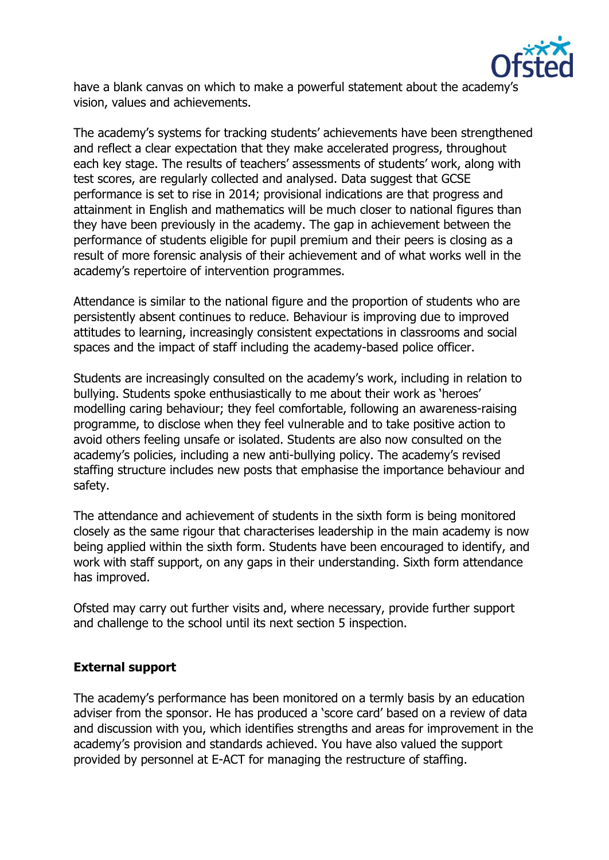

have a blank canvas on which to make a powerful statement about the academy's vision, values and achievements.

The academy's systems for tracking students' achievements have been strengthened and reflect a clear expectation that they make accelerated progress, throughout each key stage. The results of teachers' assessments of students' work, along with test scores, are regularly collected and analysed. Data suggest that GCSE performance is set to rise in 2014; provisional indications are that progress and attainment in English and mathematics will be much closer to national figures than they have been previously in the academy. The gap in achievement between the performance of students eligible for pupil premium and their peers is closing as a result of more forensic analysis of their achievement and of what works well in the academy's repertoire of intervention programmes.

Attendance is similar to the national figure and the proportion of students who are persistently absent continues to reduce. Behaviour is improving due to improved attitudes to learning, increasingly consistent expectations in classrooms and social spaces and the impact of staff including the academy-based police officer.

Students are increasingly consulted on the academy's work, including in relation to bullying. Students spoke enthusiastically to me about their work as 'heroes' modelling caring behaviour; they feel comfortable, following an awareness-raising programme, to disclose when they feel vulnerable and to take positive action to avoid others feeling unsafe or isolated. Students are also now consulted on the academy's policies, including a new anti-bullying policy. The academy's revised staffing structure includes new posts that emphasise the importance behaviour and safety.

The attendance and achievement of students in the sixth form is being monitored closely as the same rigour that characterises leadership in the main academy is now being applied within the sixth form. Students have been encouraged to identify, and work with staff support, on any gaps in their understanding. Sixth form attendance has improved.

Ofsted may carry out further visits and, where necessary, provide further support and challenge to the school until its next section 5 inspection.

### **External support**

The academy's performance has been monitored on a termly basis by an education adviser from the sponsor. He has produced a 'score card' based on a review of data and discussion with you, which identifies strengths and areas for improvement in the academy's provision and standards achieved. You have also valued the support provided by personnel at E-ACT for managing the restructure of staffing.